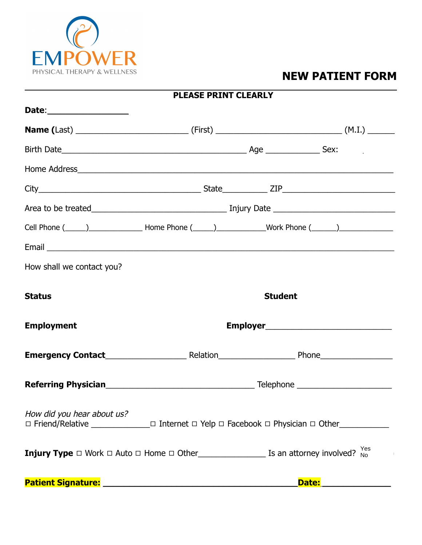

# **NEW PATIENT FORM**

| <b>PLEASE PRINT CLEARLY</b> |                |                                                                                                               |  |  |
|-----------------------------|----------------|---------------------------------------------------------------------------------------------------------------|--|--|
| Date:____________________   |                |                                                                                                               |  |  |
|                             |                |                                                                                                               |  |  |
|                             |                |                                                                                                               |  |  |
|                             |                |                                                                                                               |  |  |
|                             |                |                                                                                                               |  |  |
|                             |                |                                                                                                               |  |  |
|                             |                | Cell Phone (_____)_______________________Home Phone (_____)_______________Work Phone (______)________________ |  |  |
|                             |                |                                                                                                               |  |  |
| How shall we contact you?   |                |                                                                                                               |  |  |
| <b>Status</b>               | <b>Student</b> |                                                                                                               |  |  |
| <b>Employment</b>           |                |                                                                                                               |  |  |
|                             |                |                                                                                                               |  |  |
|                             |                |                                                                                                               |  |  |
| How did you hear about us?  |                |                                                                                                               |  |  |
|                             |                |                                                                                                               |  |  |
|                             |                | <b>Date:</b>                                                                                                  |  |  |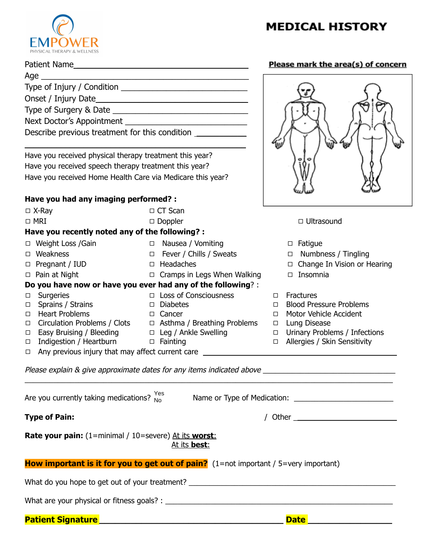

Patient Name \_\_\_\_\_\_\_\_\_\_\_\_\_\_\_\_\_\_\_\_\_\_\_\_\_\_\_\_\_\_\_\_\_\_\_\_\_\_ Age \_\_\_\_\_\_\_\_\_\_\_\_\_\_\_\_\_\_\_\_\_\_\_\_\_\_\_\_\_\_\_\_\_\_\_\_\_\_\_\_\_\_\_\_\_\_

# **MEDICAL HISTORY**

### Please mark the area(s) of concern

| Describe previous treatment for this condition _________________________________ |                                                                                                                        |                                                                                                      |
|----------------------------------------------------------------------------------|------------------------------------------------------------------------------------------------------------------------|------------------------------------------------------------------------------------------------------|
|                                                                                  |                                                                                                                        |                                                                                                      |
| Have you received physical therapy treatment this year?                          |                                                                                                                        |                                                                                                      |
| Have you received speech therapy treatment this year?                            |                                                                                                                        |                                                                                                      |
| Have you received Home Health Care via Medicare this year?                       |                                                                                                                        |                                                                                                      |
|                                                                                  |                                                                                                                        |                                                                                                      |
| Have you had any imaging performed? :                                            |                                                                                                                        |                                                                                                      |
| $\Box$ X-Ray                                                                     | $\Box$ CT Scan                                                                                                         |                                                                                                      |
| $\Box$ MRI                                                                       | $\Box$ Doppler                                                                                                         | $\Box$ Ultrasound                                                                                    |
| Have you recently noted any of the following? :                                  |                                                                                                                        |                                                                                                      |
| □ Weight Loss /Gain                                                              | □ Nausea / Vomiting                                                                                                    | $\Box$ Fatigue                                                                                       |
| $\Box$ Weakness                                                                  | □ Fever / Chills / Sweats                                                                                              | $\Box$ Numbness / Tingling                                                                           |
| Pregnant / IUD<br>$\Box$                                                         | □ Headaches                                                                                                            | $\Box$ Change In Vision or Hearing                                                                   |
| $\Box$ Pain at Night                                                             | $\Box$ Cramps in Legs When Walking                                                                                     | $\square$ Insomnia                                                                                   |
|                                                                                  | Do you have now or have you ever had any of the following? :                                                           |                                                                                                      |
| Surgeries<br>□                                                                   | $\Box$ Loss of Consciousness                                                                                           | <b>Fractures</b><br>$\Box$                                                                           |
| Sprains / Strains<br>$\Box$<br>□ Heart Problems                                  | □ Diabetes<br><b>Example 2</b> Cancer                                                                                  | <b>Blood Pressure Problems</b><br>$\Box$<br>Motor Vehicle Accident<br>$\Box$                         |
|                                                                                  | $\Box$ Frequent Hobicino<br>$\Box$ Circulation Problems / Clots $\Box$ Asthma / Breathing Problems $\Box$ Lung Disease |                                                                                                      |
| Easy Bruising / Bleeding $\Box$ Leg / Ankle Swelling<br>$\Box$                   |                                                                                                                        | □ Urinary Problems / Infections                                                                      |
| $\Box$                                                                           |                                                                                                                        | □ Allergies / Skin Sensitivity                                                                       |
| □                                                                                | Any previous injury that may affect current care                                                                       |                                                                                                      |
|                                                                                  |                                                                                                                        | Please explain & give approximate dates for any items indicated above ______________________________ |
| Are you currently taking medications? $_{\text{No}}^{\text{Yes}}$                |                                                                                                                        |                                                                                                      |
|                                                                                  |                                                                                                                        |                                                                                                      |
| <b>Type of Pain:</b>                                                             |                                                                                                                        |                                                                                                      |
| <b>Rate your pain:</b> (1=minimal / 10=severe) At its worst:                     | At its <b>best</b> :                                                                                                   |                                                                                                      |
|                                                                                  | How important is it for you to get out of pain? (1=not important / 5=very important)                                   |                                                                                                      |
|                                                                                  | What do you hope to get out of your treatment? __________________________________                                      |                                                                                                      |
|                                                                                  |                                                                                                                        |                                                                                                      |
|                                                                                  |                                                                                                                        |                                                                                                      |

### **Patient Signature \_\_\_\_\_\_\_\_\_\_\_\_\_\_\_\_\_\_\_\_\_\_\_\_\_\_\_\_\_\_\_\_\_\_\_ Date \_\_\_\_\_\_\_\_\_\_\_\_\_\_\_\_**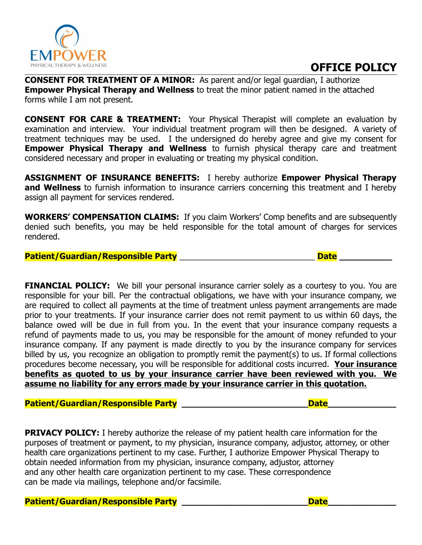

## **OFFICE POLICY**

**CONSENT FOR TREATMENT OF A MINOR:** As parent and/or legal guardian, I authorize **Empower Physical Therapy and Wellness** to treat the minor patient named in the attached forms while I am not present.

**CONSENT FOR CARE & TREATMENT:** Your Physical Therapist will complete an evaluation by examination and interview. Your individual treatment program will then be designed. A variety of treatment techniques may be used. I the undersigned do hereby agree and give my consent for **Empower Physical Therapy and Wellness** to furnish physical therapy care and treatment considered necessary and proper in evaluating or treating my physical condition.

**ASSIGNMENT OF INSURANCE BENEFITS:** I hereby authorize **Empower Physical Therapy and Wellness** to furnish information to insurance carriers concerning this treatment and I hereby assign all payment for services rendered.

**WORKERS' COMPENSATION CLAIMS:** If you claim Workers' Comp benefits and are subsequently denied such benefits, you may be held responsible for the total amount of charges for services rendered.

### **Patient/Guardian/Responsible Party** \_\_\_\_\_\_\_\_\_\_\_\_\_\_\_\_\_\_\_\_\_\_\_\_\_\_\_\_\_\_ **Date \_\_\_\_\_\_\_\_\_\_**

**FINANCIAL POLICY:** We bill your personal insurance carrier solely as a courtesy to you. You are responsible for your bill. Per the contractual obligations, we have with your insurance company, we are required to collect all payments at the time of treatment unless payment arrangements are made prior to your treatments. If your insurance carrier does not remit payment to us within 60 days, the balance owed will be due in full from you. In the event that your insurance company requests a refund of payments made to us, you may be responsible for the amount of money refunded to your insurance company. If any payment is made directly to you by the insurance company for services billed by us, you recognize an obligation to promptly remit the payment(s) to us. If formal collections procedures become necessary, you will be responsible for additional costs incurred. **Your insurance benefits as quoted to us by your insurance carrier have been reviewed with you. We assume no liability for any errors made by your insurance carrier in this quotation.**

#### **Patient/Guardian/Responsible Party \_\_\_\_\_\_\_\_\_\_\_\_\_\_\_\_\_\_\_\_\_\_\_\_Date\_\_\_\_\_\_\_\_\_\_\_\_\_**

**PRIVACY POLICY:** I hereby authorize the release of my patient health care information for the purposes of treatment or payment, to my physician, insurance company, adjustor, attorney, or other health care organizations pertinent to my case. Further, I authorize Empower Physical Therapy to obtain needed information from my physician, insurance company, adjustor, attorney and any other health care organization pertinent to my case. These correspondence can be made via mailings, telephone and/or facsimile.

Patient/Guardian/Responsible Party \_\_\_\_\_\_\_\_\_\_\_\_\_\_\_\_\_\_\_\_\_\_\_\_\_\_\_\_\_\_\_\_\_\_Date